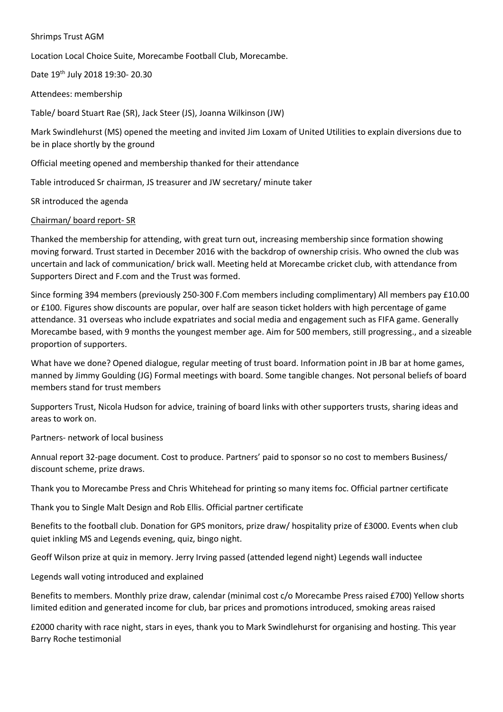### Shrimps Trust AGM

Location Local Choice Suite, Morecambe Football Club, Morecambe.

Date 19th July 2018 19:30- 20.30

Attendees: membership

Table/ board Stuart Rae (SR), Jack Steer (JS), Joanna Wilkinson (JW)

Mark Swindlehurst (MS) opened the meeting and invited Jim Loxam of United Utilities to explain diversions due to be in place shortly by the ground

Official meeting opened and membership thanked for their attendance

Table introduced Sr chairman, JS treasurer and JW secretary/ minute taker

SR introduced the agenda

#### Chairman/ board report- SR

Thanked the membership for attending, with great turn out, increasing membership since formation showing moving forward. Trust started in December 2016 with the backdrop of ownership crisis. Who owned the club was uncertain and lack of communication/ brick wall. Meeting held at Morecambe cricket club, with attendance from Supporters Direct and F.com and the Trust was formed.

Since forming 394 members (previously 250-300 F.Com members including complimentary) All members pay £10.00 or £100. Figures show discounts are popular, over half are season ticket holders with high percentage of game attendance. 31 overseas who include expatriates and social media and engagement such as FIFA game. Generally Morecambe based, with 9 months the youngest member age. Aim for 500 members, still progressing., and a sizeable proportion of supporters.

What have we done? Opened dialogue, regular meeting of trust board. Information point in JB bar at home games, manned by Jimmy Goulding (JG) Formal meetings with board. Some tangible changes. Not personal beliefs of board members stand for trust members

Supporters Trust, Nicola Hudson for advice, training of board links with other supporters trusts, sharing ideas and areas to work on.

Partners- network of local business

Annual report 32-page document. Cost to produce. Partners' paid to sponsor so no cost to members Business/ discount scheme, prize draws.

Thank you to Morecambe Press and Chris Whitehead for printing so many items foc. Official partner certificate

Thank you to Single Malt Design and Rob Ellis. Official partner certificate

Benefits to the football club. Donation for GPS monitors, prize draw/ hospitality prize of £3000. Events when club quiet inkling MS and Legends evening, quiz, bingo night.

Geoff Wilson prize at quiz in memory. Jerry Irving passed (attended legend night) Legends wall inductee

Legends wall voting introduced and explained

Benefits to members. Monthly prize draw, calendar (minimal cost c/o Morecambe Press raised £700) Yellow shorts limited edition and generated income for club, bar prices and promotions introduced, smoking areas raised

£2000 charity with race night, stars in eyes, thank you to Mark Swindlehurst for organising and hosting. This year Barry Roche testimonial